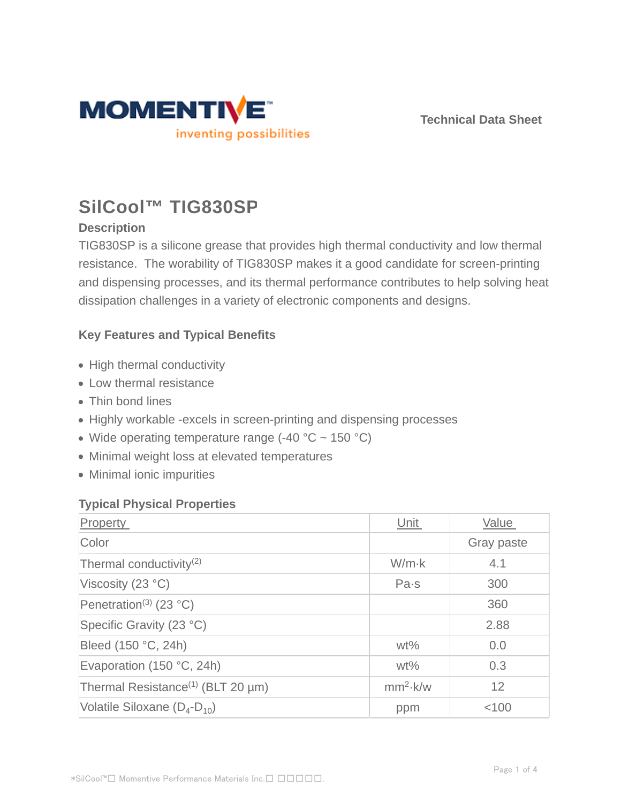

**Technical Data Sheet**

# **SilCool™ TIG830SP**

## **Description**

TIG830SP is a silicone grease that provides high thermal conductivity and low thermal resistance. The worability of TIG830SP makes it a good candidate for screen-printing and dispensing processes, and its thermal performance contributes to help solving heat dissipation challenges in a variety of electronic components and designs.

## **Key Features and Typical Benefits**

- High thermal conductivity
- Low thermal resistance
- Thin bond lines
- Highly workable -excels in screen-printing and dispensing processes
- Wide operating temperature range  $(-40 °C \sim 150 °C)$
- Minimal weight loss at elevated temperatures
- Minimal ionic impurities

## **Typical Physical Properties**

| Property                                      | Unit          | Value      |
|-----------------------------------------------|---------------|------------|
| Color                                         |               | Gray paste |
| Thermal conductivity <sup>(2)</sup>           | $W/m \cdot k$ | 4.1        |
| Viscosity $(23 °C)$                           | Pa·s          | 300        |
| Penetration <sup>(3)</sup> (23 °C)            |               | 360        |
| Specific Gravity (23 °C)                      |               | 2.88       |
| Bleed (150 °C, 24h)                           | $wt\%$        | 0.0        |
| Evaporation (150 °C, 24h)                     | $wt\%$        | 0.3        |
| Thermal Resistance <sup>(1)</sup> (BLT 20 µm) | $mm2$ k/w     | 12         |
| Volatile Siloxane $(D_4-D_{10})$              | ppm           | < 100      |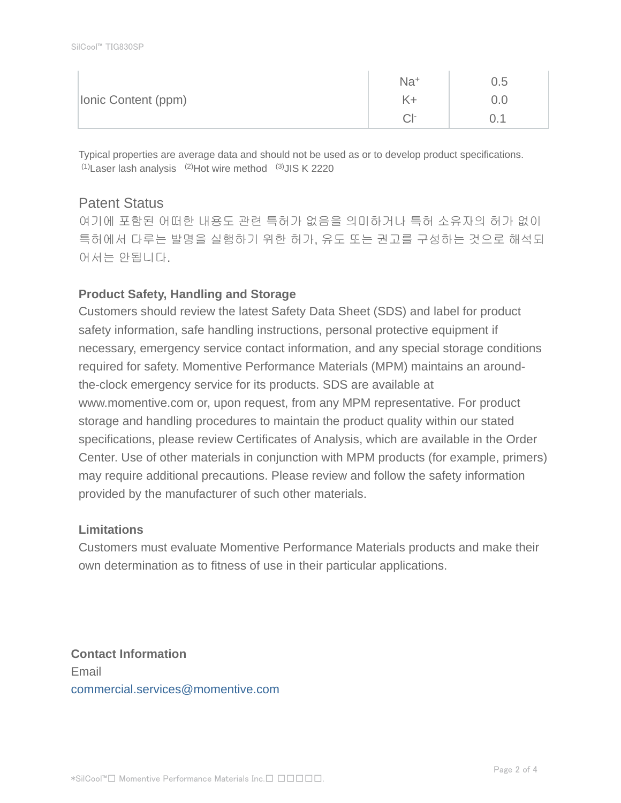|                     | $Na+$     | 0.5             |
|---------------------|-----------|-----------------|
| Ionic Content (ppm) |           | $0.0^{\circ}$   |
|                     | $\cap$ 1- | $\sim$ . $\sim$ |

Typical properties are average data and should not be used as or to develop product specifications.  $(1)$ Laser lash analysis  $(2)$ Hot wire method  $(3)$ JIS K 2220

## Patent Status

여기에 포함된 어떠한 내용도 관련 특허가 없음을 의미하거나 특허 소유자의 허가 없이 특허에서 다루는 발명을 실행하기 위한 허가, 유도 또는 권고를 구성하는 것으로 해석되 어서는 안됩니다.

## **Product Safety, Handling and Storage**

Customers should review the latest Safety Data Sheet (SDS) and label for product safety information, safe handling instructions, personal protective equipment if necessary, emergency service contact information, and any special storage conditions required for safety. Momentive Performance Materials (MPM) maintains an aroundthe-clock emergency service for its products. SDS are available at www.momentive.com or, upon request, from any MPM representative. For product storage and handling procedures to maintain the product quality within our stated specifications, please review Certificates of Analysis, which are available in the Order Center. Use of other materials in conjunction with MPM products (for example, primers) may require additional precautions. Please review and follow the safety information provided by the manufacturer of such other materials.

## **Limitations**

Customers must evaluate Momentive Performance Materials products and make their own determination as to fitness of use in their particular applications.

**Contact Information** Email commercial.services@momentive.com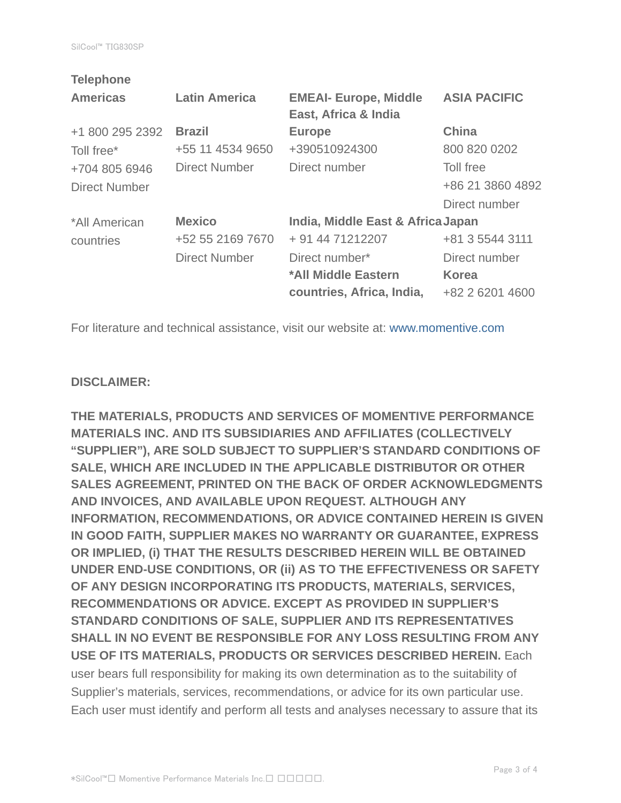| <b>Telephone</b>     |                      |                                   |                     |
|----------------------|----------------------|-----------------------------------|---------------------|
| <b>Americas</b>      | <b>Latin America</b> | <b>EMEAI- Europe, Middle</b>      | <b>ASIA PACIFIC</b> |
|                      |                      | East, Africa & India              |                     |
| +1 800 295 2392      | <b>Brazil</b>        | <b>Europe</b>                     | <b>China</b>        |
| Toll free*           | +55 11 4534 9650     | +390510924300                     | 800 820 0202        |
| +704 805 6946        | <b>Direct Number</b> | Direct number                     | Toll free           |
| <b>Direct Number</b> |                      |                                   | +86 21 3860 4892    |
|                      |                      |                                   | Direct number       |
| *All American        | <b>Mexico</b>        | India, Middle East & Africa Japan |                     |
| countries            | +52 55 2169 7670     | + 91 44 71212207                  | +81 3 5544 3111     |
|                      | <b>Direct Number</b> | Direct number*                    | Direct number       |
|                      |                      | *All Middle Eastern               | <b>Korea</b>        |
|                      |                      | countries, Africa, India,         | +82 2 6201 4600     |
|                      |                      |                                   |                     |

For literature and technical assistance, visit our website at: www.momentive.com

#### **DISCLAIMER:**

**THE MATERIALS, PRODUCTS AND SERVICES OF MOMENTIVE PERFORMANCE MATERIALS INC. AND ITS SUBSIDIARIES AND AFFILIATES (COLLECTIVELY "SUPPLIER"), ARE SOLD SUBJECT TO SUPPLIER'S STANDARD CONDITIONS OF SALE, WHICH ARE INCLUDED IN THE APPLICABLE DISTRIBUTOR OR OTHER SALES AGREEMENT, PRINTED ON THE BACK OF ORDER ACKNOWLEDGMENTS AND INVOICES, AND AVAILABLE UPON REQUEST. ALTHOUGH ANY INFORMATION, RECOMMENDATIONS, OR ADVICE CONTAINED HEREIN IS GIVEN IN GOOD FAITH, SUPPLIER MAKES NO WARRANTY OR GUARANTEE, EXPRESS OR IMPLIED, (i) THAT THE RESULTS DESCRIBED HEREIN WILL BE OBTAINED UNDER END-USE CONDITIONS, OR (ii) AS TO THE EFFECTIVENESS OR SAFETY OF ANY DESIGN INCORPORATING ITS PRODUCTS, MATERIALS, SERVICES, RECOMMENDATIONS OR ADVICE. EXCEPT AS PROVIDED IN SUPPLIER'S STANDARD CONDITIONS OF SALE, SUPPLIER AND ITS REPRESENTATIVES SHALL IN NO EVENT BE RESPONSIBLE FOR ANY LOSS RESULTING FROM ANY USE OF ITS MATERIALS, PRODUCTS OR SERVICES DESCRIBED HEREIN.** Each user bears full responsibility for making its own determination as to the suitability of Supplier's materials, services, recommendations, or advice for its own particular use. Each user must identify and perform all tests and analyses necessary to assure that its